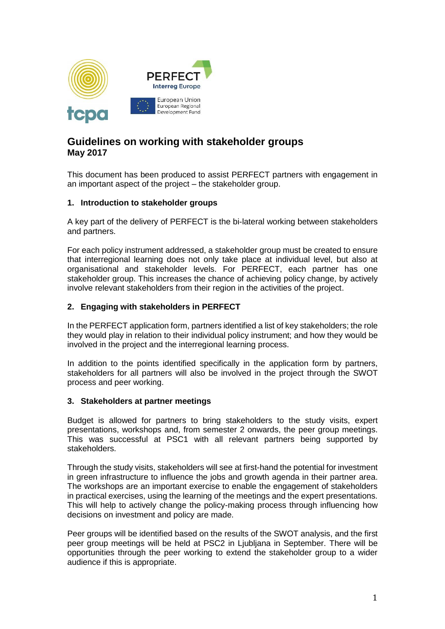

# **Guidelines on working with stakeholder groups May 2017**

This document has been produced to assist PERFECT partners with engagement in an important aspect of the project – the stakeholder group.

# **1. Introduction to stakeholder groups**

A key part of the delivery of PERFECT is the bi-lateral working between stakeholders and partners.

For each policy instrument addressed, a stakeholder group must be created to ensure that interregional learning does not only take place at individual level, but also at organisational and stakeholder levels. For PERFECT, each partner has one stakeholder group. This increases the chance of achieving policy change, by actively involve relevant stakeholders from their region in the activities of the project.

# **2. Engaging with stakeholders in PERFECT**

In the PERFECT application form, partners identified a list of key stakeholders; the role they would play in relation to their individual policy instrument; and how they would be involved in the project and the interregional learning process.

In addition to the points identified specifically in the application form by partners, stakeholders for all partners will also be involved in the project through the SWOT process and peer working.

# **3. Stakeholders at partner meetings**

Budget is allowed for partners to bring stakeholders to the study visits, expert presentations, workshops and, from semester 2 onwards, the peer group meetings. This was successful at PSC1 with all relevant partners being supported by stakeholders.

Through the study visits, stakeholders will see at first-hand the potential for investment in green infrastructure to influence the jobs and growth agenda in their partner area. The workshops are an important exercise to enable the engagement of stakeholders in practical exercises, using the learning of the meetings and the expert presentations. This will help to actively change the policy-making process through influencing how decisions on investment and policy are made.

Peer groups will be identified based on the results of the SWOT analysis, and the first peer group meetings will be held at PSC2 in Ljubljana in September. There will be opportunities through the peer working to extend the stakeholder group to a wider audience if this is appropriate.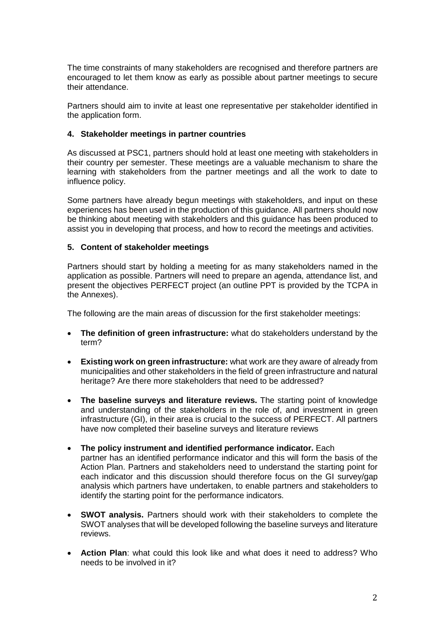The time constraints of many stakeholders are recognised and therefore partners are encouraged to let them know as early as possible about partner meetings to secure their attendance.

Partners should aim to invite at least one representative per stakeholder identified in the application form.

# **4. Stakeholder meetings in partner countries**

As discussed at PSC1, partners should hold at least one meeting with stakeholders in their country per semester. These meetings are a valuable mechanism to share the learning with stakeholders from the partner meetings and all the work to date to influence policy.

Some partners have already begun meetings with stakeholders, and input on these experiences has been used in the production of this guidance. All partners should now be thinking about meeting with stakeholders and this guidance has been produced to assist you in developing that process, and how to record the meetings and activities.

# **5. Content of stakeholder meetings**

Partners should start by holding a meeting for as many stakeholders named in the application as possible. Partners will need to prepare an agenda, attendance list, and present the objectives PERFECT project (an outline PPT is provided by the TCPA in the Annexes).

The following are the main areas of discussion for the first stakeholder meetings:

- **The definition of green infrastructure:** what do stakeholders understand by the term?
- **Existing work on green infrastructure:** what work are they aware of already from municipalities and other stakeholders in the field of green infrastructure and natural heritage? Are there more stakeholders that need to be addressed?
- **The baseline surveys and literature reviews.** The starting point of knowledge and understanding of the stakeholders in the role of, and investment in green infrastructure (GI), in their area is crucial to the success of PERFECT. All partners have now completed their baseline surveys and literature reviews
- **The policy instrument and identified performance indicator.** Each partner has an identified performance indicator and this will form the basis of the Action Plan. Partners and stakeholders need to understand the starting point for each indicator and this discussion should therefore focus on the GI survey/gap analysis which partners have undertaken, to enable partners and stakeholders to identify the starting point for the performance indicators.
- **SWOT analysis.** Partners should work with their stakeholders to complete the SWOT analyses that will be developed following the baseline surveys and literature reviews.
- **Action Plan**: what could this look like and what does it need to address? Who needs to be involved in it?